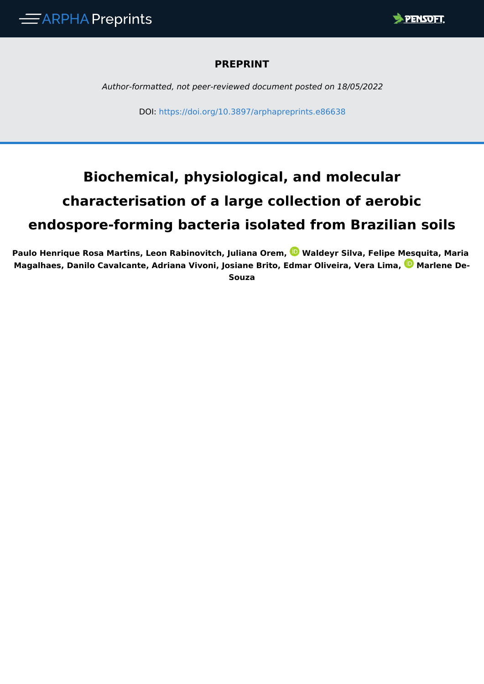

# **PREPRINT**

*Author-formatted, not peer-reviewed document posted on 18/05/2022*

DOI: <https://doi.org/10.3897/arphapreprints.e86638>

# **Biochemical, physiological, and molecular characterisation of a large collection of aerobic endospore-forming bacteria isolated from Brazilian soils**

**Paulo Henrique Rosa Martins, Leon Rabinovitch, Juliana Orem,Waldeyr Silva, Felipe Mesquita, Maria Magalhaes, Danilo Cavalcante, Adriana Vivoni, Josiane Brito, Edmar Oliveira, Vera Lima,Marlene De-Souza**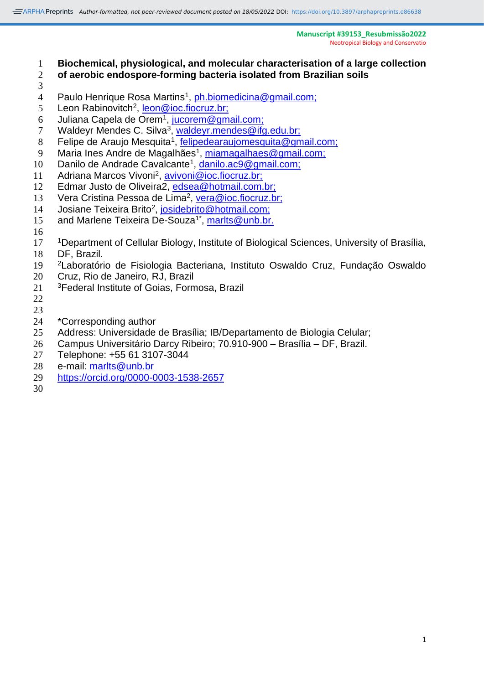**Manuscript #39153\_Resubmissão2022** Neotropical Biology and Conservatio

## 1 **Biochemical, physiological, and molecular characterisation of a large collection**  2 **of aerobic endospore-forming bacteria isolated from Brazilian soils**

- 3
- 4 Paulo Henrique Rosa Martins<sup>1</sup>, ph.biomedicina@gmail.com;
- 5 Leon Rabinovitch<sup>2</sup>, leon@ioc.fiocruz.br;
- 6 Juliana Capela de Orem<sup>1</sup>, jucorem@gmail.com;
- 7 Waldeyr Mendes C. Silva<sup>3</sup>, waldeyr.mendes@ifg.edu.br;
- 8 Felipe de Araujo Mesquita<sup>1</sup>, felipedearaujomesquita@gmail.com;
- 9 Maria Ines Andre de Magalhães<sup>1</sup>, miamagalhaes@gmail.com;
- 10 Danilo de Andrade Cavalcante<sup>1</sup>, danilo.ac9@gmail.com;
- 11 Adriana Marcos Vivoni<sup>2</sup>, avivoni@ioc.fiocruz.br;
- 12 Edmar Justo de Oliveira2, edsea@hotmail.com.br;
- 13 Vera Cristina Pessoa de Lima<sup>2</sup>, vera@ioc.fiocruz.br;
- 14 Josiane Teixeira Brito<sup>2</sup>, josidebrito@hotmail.com;
- 15 and Marlene Teixeira De-Souza<sup>1\*</sup>, marlts@unb.br.
- 16
- 17 1Department of Cellular Biology, Institute of Biological Sciences, University of Brasília,
- 18 DF, Brazil.
- 19 <sup>2</sup> Laboratório de Fisiologia Bacteriana, Instituto Oswaldo Cruz, Fundação Oswaldo
- 20 Cruz, Rio de Janeiro, RJ, Brazil
- $21$  <sup>3</sup> Federal Institute of Goias, Formosa, Brazil
- 22 23
- 24 \*Corresponding author
- 25 Address: Universidade de Brasília; IB/Departamento de Biologia Celular;
- 26 Campus Universitário Darcy Ribeiro; 70.910-900 Brasília DF, Brazil.
- 27 Telephone: +55 61 3107-3044
- 28 e-mail: marlts@unb.br
- 29 https://orcid.org/0000-0003-1538-2657
- 30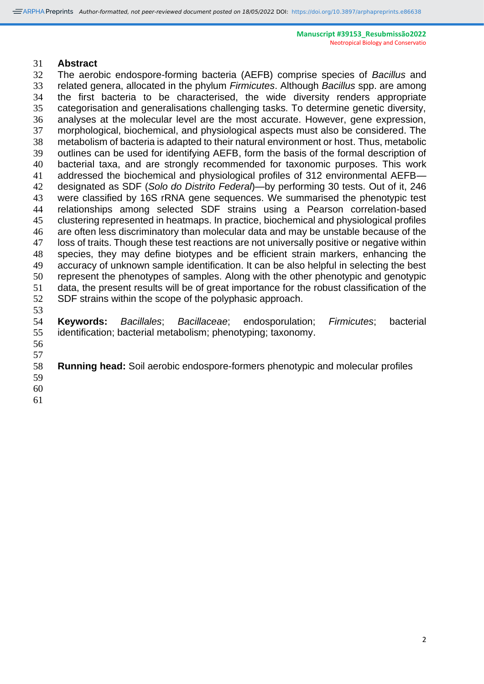**Manuscript #39153\_Resubmissão2022** Neotropical Biology and Conservatio

#### **Abstract**

 The aerobic endospore-forming bacteria (AEFB) comprise species of *Bacillus* and related genera, allocated in the phylum *Firmicutes*. Although *Bacillus* spp. are among the first bacteria to be characterised, the wide diversity renders appropriate categorisation and generalisations challenging tasks. To determine genetic diversity, analyses at the molecular level are the most accurate. However, gene expression, morphological, biochemical, and physiological aspects must also be considered. The metabolism of bacteria is adapted to their natural environment or host. Thus, metabolic outlines can be used for identifying AEFB, form the basis of the formal description of bacterial taxa, and are strongly recommended for taxonomic purposes. This work addressed the biochemical and physiological profiles of 312 environmental AEFB— designated as SDF (*Solo do Distrito Federal*)—by performing 30 tests. Out of it, 246 were classified by 16S rRNA gene sequences. We summarised the phenotypic test relationships among selected SDF strains using a Pearson correlation-based clustering represented in heatmaps. In practice, biochemical and physiological profiles are often less discriminatory than molecular data and may be unstable because of the loss of traits. Though these test reactions are not universally positive or negative within species, they may define biotypes and be efficient strain markers, enhancing the accuracy of unknown sample identification. It can be also helpful in selecting the best represent the phenotypes of samples. Along with the other phenotypic and genotypic data, the present results will be of great importance for the robust classification of the SDF strains within the scope of the polyphasic approach. 

 **Keywords:** *Bacillales*; *Bacillaceae*; endosporulation; *Firmicutes*; bacterial identification; bacterial metabolism; phenotyping; taxonomy.

 

**Running head:** Soil aerobic endospore-formers phenotypic and molecular profiles

- 
- 
-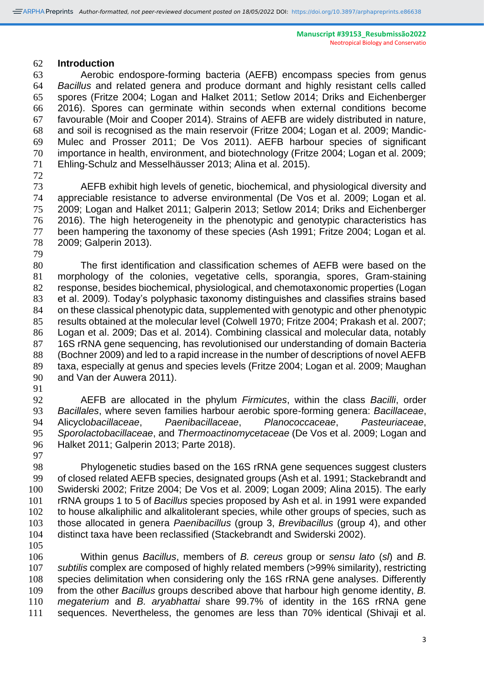### **Introduction**

 Aerobic endospore-forming bacteria (AEFB) encompass species from genus *Bacillus* and related genera and produce dormant and highly resistant cells called spores (Fritze 2004; Logan and Halket 2011; Setlow 2014; Driks and Eichenberger 2016). Spores can germinate within seconds when external conditions become favourable (Moir and Cooper 2014). Strains of AEFB are widely distributed in nature, and soil is recognised as the main reservoir (Fritze 2004; Logan et al. 2009; Mandic- Mulec and Prosser 2011; De Vos 2011). AEFB harbour species of significant importance in health, environment, and biotechnology (Fritze 2004; Logan et al. 2009; Ehling-Schulz and Messelhäusser 2013; Alina et al. 2015).

 AEFB exhibit high levels of genetic, biochemical, and physiological diversity and appreciable resistance to adverse environmental (De Vos et al. 2009; Logan et al. 2009; Logan and Halket 2011; Galperin 2013; Setlow 2014; Driks and Eichenberger 2016). The high heterogeneity in the phenotypic and genotypic characteristics has been hampering the taxonomy of these species (Ash 1991; Fritze 2004; Logan et al. 2009; Galperin 2013). 

 The first identification and classification schemes of AEFB were based on the morphology of the colonies, vegetative cells, sporangia, spores, Gram-staining response, besides biochemical, physiological, and chemotaxonomic properties (Logan et al. 2009). Today's polyphasic taxonomy distinguishes and classifies strains based on these classical phenotypic data, supplemented with genotypic and other phenotypic results obtained at the molecular level (Colwell 1970; Fritze 2004; Prakash et al. 2007; Logan et al. 2009; Das et al. 2014). Combining classical and molecular data, notably 16S rRNA gene sequencing, has revolutionised our understanding of domain Bacteria (Bochner 2009) and led to a rapid increase in the number of descriptions of novel AEFB taxa, especially at genus and species levels (Fritze 2004; Logan et al. 2009; Maughan and Van der Auwera 2011).

 AEFB are allocated in the phylum *Firmicutes*, within the class *Bacilli*, order *Bacillales*, where seven families harbour aerobic spore-forming genera: *Bacillaceae*, Alicyclo*bacillaceae*, *Paenibacillaceae*, *Planococcaceae*, *Pasteuriaceae*, *Sporolactobacillaceae*, and *Thermoactinomycetaceae* (De Vos et al. 2009; Logan and Halket 2011; Galperin 2013; Parte 2018).

98 Phylogenetic studies based on the 16S rRNA gene sequences suggest clusters of closed related AEFB species, designated groups (Ash et al. 1991; Stackebrandt and Swiderski 2002; Fritze 2004; De Vos et al. 2009; Logan 2009; Alina 2015). The early rRNA groups 1 to 5 of *Bacillus* species proposed by Ash et al. in 1991 were expanded to house alkaliphilic and alkalitolerant species, while other groups of species, such as those allocated in genera *Paenibacillus* (group 3, *Brevibacillus* (group 4), and other distinct taxa have been reclassified (Stackebrandt and Swiderski 2002).

 Within genus *Bacillus*, members of *B. cereus* group or *sensu lato* (*sl*) and *B. subtilis* complex are composed of highly related members (>99% similarity), restricting species delimitation when considering only the 16S rRNA gene analyses. Differently from the other *Bacillus* groups described above that harbour high genome identity, *B. megaterium* and *B. aryabhattai* share 99.7% of identity in the 16S rRNA gene sequences. Nevertheless, the genomes are less than 70% identical (Shivaji et al.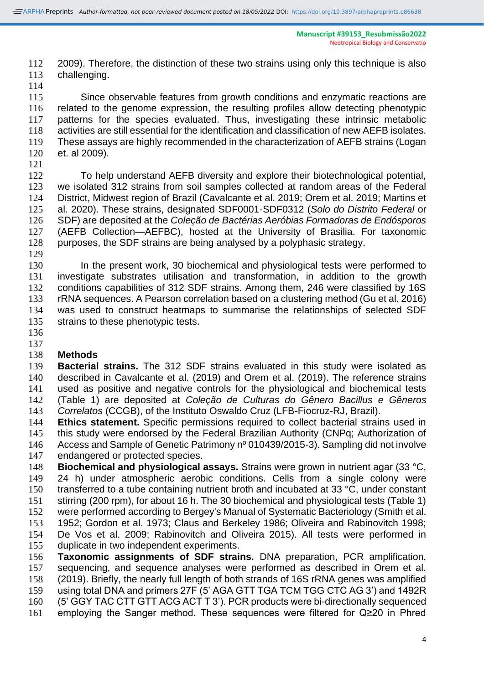2009). Therefore, the distinction of these two strains using only this technique is also challenging.

 Since observable features from growth conditions and enzymatic reactions are related to the genome expression, the resulting profiles allow detecting phenotypic patterns for the species evaluated. Thus, investigating these intrinsic metabolic activities are still essential for the identification and classification of new AEFB isolates. These assays are highly recommended in the characterization of AEFB strains (Logan et. al 2009).

 To help understand AEFB diversity and explore their biotechnological potential, we isolated 312 strains from soil samples collected at random areas of the Federal District, Midwest region of Brazil (Cavalcante et al. 2019; Orem et al. 2019; Martins et al. 2020). These strains, designated SDF0001-SDF0312 (*Solo do Distrito Federal* or SDF) are deposited at the *Coleção de Bactérias Aeróbias Formadoras de Endósporos* (AEFB Collection—AEFBC), hosted at the University of Brasilia. For taxonomic purposes, the SDF strains are being analysed by a polyphasic strategy.

 In the present work, 30 biochemical and physiological tests were performed to investigate substrates utilisation and transformation, in addition to the growth conditions capabilities of 312 SDF strains. Among them, 246 were classified by 16S rRNA sequences. A Pearson correlation based on a clustering method (Gu et al. 2016) was used to construct heatmaps to summarise the relationships of selected SDF strains to these phenotypic tests.

### **Methods**

 **Bacterial strains.** The 312 SDF strains evaluated in this study were isolated as described in Cavalcante et al. (2019) and Orem et al. (2019). The reference strains used as positive and negative controls for the physiological and biochemical tests (Table 1) are deposited at *Coleção de Culturas do Gênero Bacillus e Gêneros Correlatos* (CCGB), of the Instituto Oswaldo Cruz (LFB-Fiocruz-RJ, Brazil).

 **Ethics statement.** Specific permissions required to collect bacterial strains used in this study were endorsed by the Federal Brazilian Authority (CNPq; Authorization of Access and Sample of Genetic Patrimony nº 010439/2015-3). Sampling did not involve

endangered or protected species.

 **Biochemical and physiological assays.** Strains were grown in nutrient agar (33 °C, 24 h) under atmospheric aerobic conditions. Cells from a single colony were transferred to a tube containing nutrient broth and incubated at 33 °C, under constant stirring (200 rpm), for about 16 h. The 30 biochemical and physiological tests (Table 1) were performed according to Bergey's Manual of Systematic Bacteriology (Smith et al. 1952; Gordon et al. 1973; Claus and Berkeley 1986; Oliveira and Rabinovitch 1998; De Vos et al. 2009; Rabinovitch and Oliveira 2015). All tests were performed in duplicate in two independent experiments. **Taxonomic assignments of SDF strains.** DNA preparation, PCR amplification, sequencing, and sequence analyses were performed as described in Orem et al.

(2019). Briefly, the nearly full length of both strands of 16S rRNA genes was amplified

using total DNA and primers 27F (5' AGA GTT TGA TCM TGG CTC AG 3') and 1492R

(5' GGY TAC CTT GTT ACG ACT T 3'). PCR products were bi-directionally sequenced

employing the Sanger method. These sequences were filtered for Q≥20 in Phred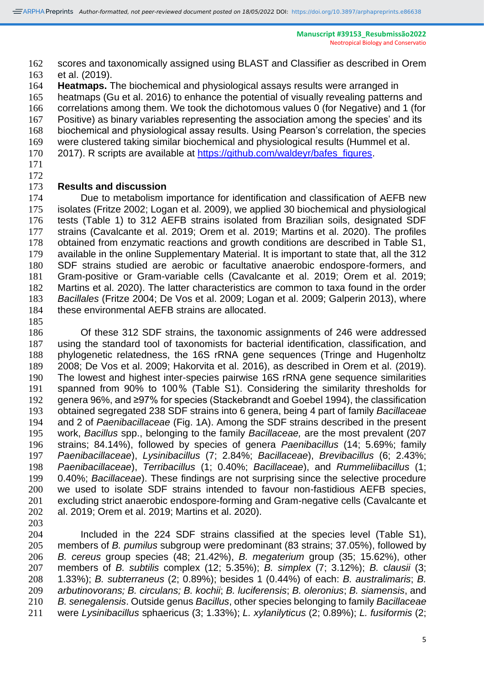scores and taxonomically assigned using BLAST and Classifier as described in Orem et al. (2019).

**Heatmaps.** The biochemical and physiological assays results were arranged in

heatmaps (Gu et al. 2016) to enhance the potential of visually revealing patterns and

correlations among them. We took the dichotomous values 0 (for Negative) and 1 (for

Positive) as binary variables representing the association among the species' and its

biochemical and physiological assay results. Using Pearson's correlation, the species

- were clustered taking similar biochemical and physiological results (Hummel et al.
- 170 2017). R scripts are available at https://github.com/waldeyr/bafes\_figures.
- 

# **Results and discussion**

 Due to metabolism importance for identification and classification of AEFB new isolates (Fritze 2002; Logan et al. 2009), we applied 30 biochemical and physiological tests (Table 1) to 312 AEFB strains isolated from Brazilian soils, designated SDF strains (Cavalcante et al. 2019; Orem et al. 2019; Martins et al. 2020). The profiles obtained from enzymatic reactions and growth conditions are described in Table S1, available in the online Supplementary Material. It is important to state that, all the 312 SDF strains studied are aerobic or facultative anaerobic endospore-formers, and Gram-positive or Gram-variable cells (Cavalcante et al. 2019; Orem et al. 2019; Martins et al. 2020). The latter characteristics are common to taxa found in the order *Bacillales* (Fritze 2004; De Vos et al. 2009; Logan et al. 2009; Galperin 2013), where these environmental AEFB strains are allocated.

 Of these 312 SDF strains, the taxonomic assignments of 246 were addressed using the standard tool of taxonomists for bacterial identification, classification, and phylogenetic relatedness, the 16S rRNA gene sequences (Tringe and Hugenholtz 2008; De Vos et al. 2009; Hakorvita et al. 2016), as described in Orem et al. (2019). The lowest and highest inter-species pairwise 16S rRNA gene sequence similarities spanned from 90% to 100 % (Table S1). Considering the similarity thresholds for genera 96%, and ≥97% for species (Stackebrandt and Goebel 1994), the classification obtained segregated 238 SDF strains into 6 genera, being 4 part of family *Bacillaceae* and 2 of *Paenibacillaceae* (Fig. 1A). Among the SDF strains described in the present work, *Bacillus* spp., belonging to the family *Bacillaceae,* are the most prevalent (207 strains; 84.14%), followed by species of genera *Paenibacillus* (14; 5.69%; family *Paenibacillaceae*), *Lysinibacillus* (7; 2.84%; *Bacillaceae*), *Brevibacillus* (6; 2.43%; *Paenibacillaceae*), *Terribacillus* (1; 0.40%; *Bacillaceae*), and *Rummeliibacillus* (1; 0.40%; *Bacillaceae*). These findings are not surprising since the selective procedure we used to isolate SDF strains intended to favour non-fastidious AEFB species, excluding strict anaerobic endospore-forming and Gram-negative cells (Cavalcante et al. 2019; Orem et al. 2019; Martins et al. 2020). 

 Included in the 224 SDF strains classified at the species level (Table S1), members of *B. pumilus* subgroup were predominant (83 strains; 37.05%), followed by *B. cereus* group species (48; 21.42%), *B. megaterium* group (35; 15.62%), other members of *B. subtilis* complex (12; 5.35%); *B. simplex* (7; 3.12%); *B.* c*lausii* (3; 1.33%); *B. subterraneus* (2; 0.89%); besides 1 (0.44%) of each: *B. australimaris*; *B. arbutinovorans; B. circulans; B. kochii*; *B. luciferensis*; *B. oleronius*; *B. siamensis*, and *B. senegalensis*. Outside genus *Bacillus*, other species belonging to family *Bacillaceae* were *Lysinibacillus* sphaericus (3; 1.33%); *L. xylanilyticus* (2; 0.89%); *L. fusiformis* (2;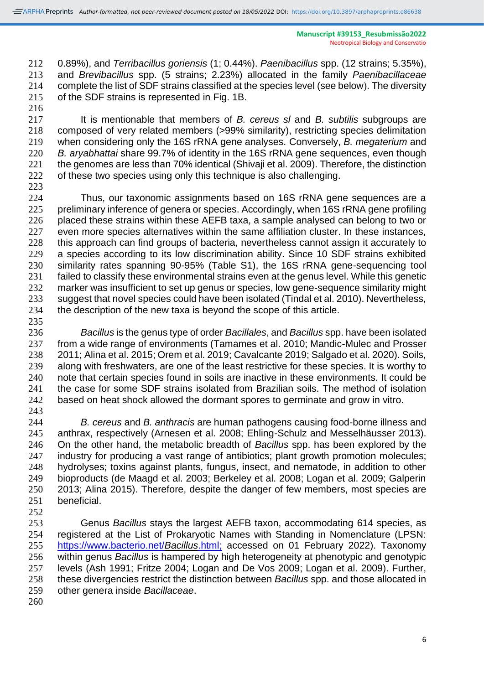0.89%), and *Terribacillus goriensis* (1; 0.44%). *Paenibacillus* spp. (12 strains; 5.35%), and *Brevibacillus* spp. (5 strains; 2.23%) allocated in the family *Paenibacillaceae* complete the list of SDF strains classified at the species level (see below). The diversity 215 of the SDF strains is represented in Fig. 1B.

- It is mentionable that members of *B. cereus sl* and *B. subtilis* subgroups are composed of very related members (>99% similarity), restricting species delimitation when considering only the 16S rRNA gene analyses. Conversely, *B. megaterium* and *B. aryabhattai* share 99.7% of identity in the 16S rRNA gene sequences, even though 221 the genomes are less than 70% identical (Shivaji et al. 2009). Therefore, the distinction 222 of these two species using only this technique is also challenging.
- 

 Thus, our taxonomic assignments based on 16S rRNA gene sequences are a preliminary inference of genera or species. Accordingly, when 16S rRNA gene profiling 226 placed these strains within these AEFB taxa, a sample analysed can belong to two or even more species alternatives within the same affiliation cluster. In these instances, this approach can find groups of bacteria, nevertheless cannot assign it accurately to a species according to its low discrimination ability. Since 10 SDF strains exhibited similarity rates spanning 90-95% (Table S1), the 16S rRNA gene-sequencing tool 231 failed to classify these environmental strains even at the genus level. While this genetic marker was insufficient to set up genus or species, low gene-sequence similarity might suggest that novel species could have been isolated (Tindal et al. 2010). Nevertheless, the description of the new taxa is beyond the scope of this article.

 *Bacillus* is the genus type of order *Bacillales*, and *Bacillus* spp. have been isolated from a wide range of environments (Tamames et al. 2010; Mandic-Mulec and Prosser 2011; Alina et al. 2015; Orem et al. 2019; Cavalcante 2019; Salgado et al. 2020). Soils, along with freshwaters, are one of the least restrictive for these species. It is worthy to note that certain species found in soils are inactive in these environments. It could be the case for some SDF strains isolated from Brazilian soils. The method of isolation based on heat shock allowed the dormant spores to germinate and grow in vitro. 

 *B. cereus* and *B. anthracis* are human pathogens causing food-borne illness and anthrax, respectively (Arnesen et al. 2008; Ehling-Schulz and Messelhäusser 2013). On the other hand, the metabolic breadth of *Bacillus* spp. has been explored by the 247 industry for producing a vast range of antibiotics; plant growth promotion molecules; hydrolyses; toxins against plants, fungus, insect, and nematode, in addition to other bioproducts (de Maagd et al. 2003; Berkeley et al. 2008; Logan et al. 2009; Galperin 2013; Alina 2015). Therefore, despite the danger of few members, most species are beneficial.

 Genus *Bacillus* stays the largest AEFB taxon, accommodating 614 species, as registered at the List of Prokaryotic Names with Standing in Nomenclature (LPSN: https://www.bacterio.net/*Bacillus*.html; accessed on 01 February 2022). Taxonomy within genus *Bacillus* is hampered by high heterogeneity at phenotypic and genotypic levels (Ash 1991; Fritze 2004; Logan and De Vos 2009; Logan et al. 2009). Further, these divergencies restrict the distinction between *Bacillus* spp. and those allocated in other genera inside *Bacillaceae*.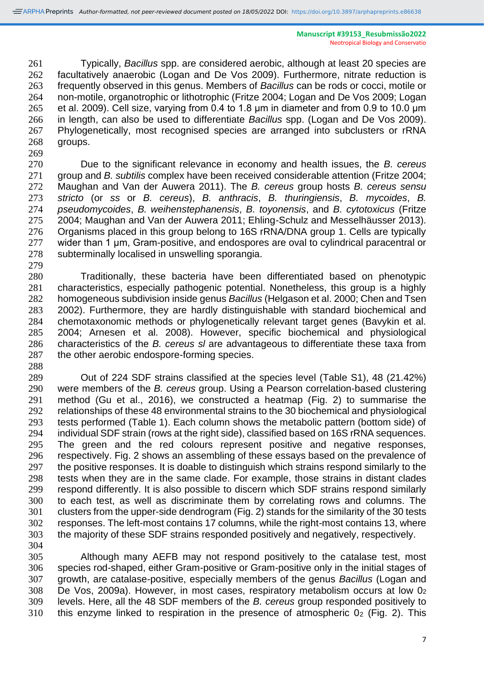Typically, *Bacillus* spp. are considered aerobic, although at least 20 species are facultatively anaerobic (Logan and De Vos 2009). Furthermore, nitrate reduction is frequently observed in this genus. Members of *Bacillus* can be rods or cocci, motile or non-motile, organotrophic or lithotrophic (Fritze 2004; Logan and De Vos 2009; Logan et al. 2009). Cell size, varying from 0.4 to 1.8 μm in diameter and from 0.9 to 10.0 μm in length, can also be used to differentiate *Bacillus* spp. (Logan and De Vos 2009). Phylogenetically, most recognised species are arranged into subclusters or rRNA groups.

 Due to the significant relevance in economy and health issues, the *B. cereus* group and *B. subtilis* complex have been received considerable attention (Fritze 2004; Maughan and Van der Auwera 2011). The *B. cereus* group hosts *B. cereus sensu stricto* (or *ss* or *B. cereus*), *B. anthracis*, *B. thuringiensis*, *B. mycoides*, *B. pseudomycoides*, *B. weihenstephanensis*, *B. toyonensis*, and *B. cytotoxicus* (Fritze 2004; Maughan and Van der Auwera 2011; Ehling-Schulz and Messelhäusser 2013). Organisms placed in this group belong to 16S rRNA/DNA group 1. Cells are typically wider than 1 μm, Gram-positive, and endospores are oval to cylindrical paracentral or subterminally localised in unswelling sporangia.

 Traditionally, these bacteria have been differentiated based on phenotypic characteristics, especially pathogenic potential. Nonetheless, this group is a highly homogeneous subdivision inside genus *Bacillus* (Helgason et al. 2000; Chen and Tsen 2002). Furthermore, they are hardly distinguishable with standard biochemical and chemotaxonomic methods or phylogenetically relevant target genes (Bavykin et al. 2004; Arnesen et al. 2008). However, specific biochemical and physiological characteristics of the *B. cereus sl* are advantageous to differentiate these taxa from 287 the other aerobic endospore-forming species.

 Out of 224 SDF strains classified at the species level (Table S1), 48 (21.42%) were members of the *B. cereus* group. Using a Pearson correlation-based clustering method (Gu et al., 2016), we constructed a heatmap (Fig. 2) to summarise the relationships of these 48 environmental strains to the 30 biochemical and physiological tests performed (Table 1). Each column shows the metabolic pattern (bottom side) of individual SDF strain (rows at the right side), classified based on 16S rRNA sequences. The green and the red colours represent positive and negative responses, respectively. Fig. 2 shows an assembling of these essays based on the prevalence of 297 the positive responses. It is doable to distinguish which strains respond similarly to the tests when they are in the same clade. For example, those strains in distant clades respond differently. It is also possible to discern which SDF strains respond similarly to each test, as well as discriminate them by correlating rows and columns. The clusters from the upper-side dendrogram (Fig. 2) stands for the similarity of the 30 tests responses. The left-most contains 17 columns, while the right-most contains 13, where the majority of these SDF strains responded positively and negatively, respectively. 

 Although many AEFB may not respond positively to the catalase test, most species rod-shaped, either Gram-positive or Gram-positive only in the initial stages of growth, are catalase-positive, especially members of the genus *Bacillus* (Logan and De Vos, 2009a). However, in most cases, respiratory metabolism occurs at low 0<sup>2</sup> levels. Here, all the 48 SDF members of the *B. cereus* group responded positively to 310 this enzyme linked to respiration in the presence of atmospheric  $0<sub>2</sub>$  (Fig. 2). This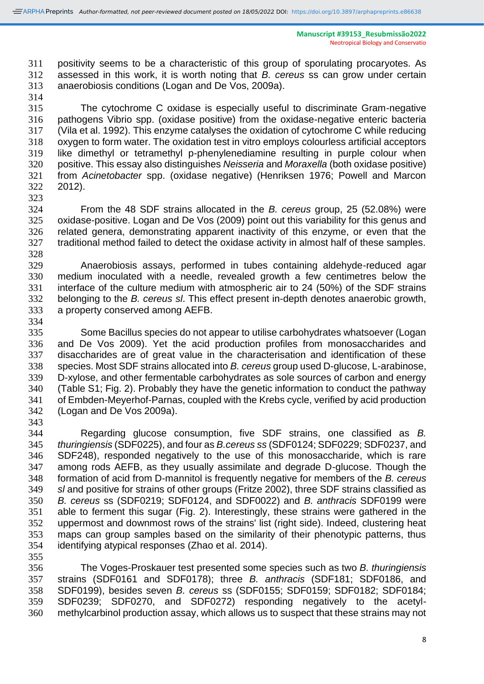positivity seems to be a characteristic of this group of sporulating procaryotes. As assessed in this work, it is worth noting that *B. cereus* ss can grow under certain anaerobiosis conditions (Logan and De Vos, 2009a). 

 The cytochrome C oxidase is especially useful to discriminate Gram-negative pathogens Vibrio spp. (oxidase positive) from the oxidase-negative enteric bacteria (Vila et al. 1992). This enzyme catalyses the oxidation of cytochrome C while reducing oxygen to form water. The oxidation test in vitro employs colourless artificial acceptors like dimethyl or tetramethyl p-phenylenediamine resulting in purple colour when positive. This essay also distinguishes *Neisseria* and *Moraxella* (both oxidase positive) from *Acinetobacter* spp. (oxidase negative) (Henriksen 1976; Powell and Marcon 2012).

 From the 48 SDF strains allocated in the *B. cereus* group, 25 (52.08%) were oxidase-positive. Logan and De Vos (2009) point out this variability for this genus and related genera, demonstrating apparent inactivity of this enzyme, or even that the traditional method failed to detect the oxidase activity in almost half of these samples. 

 Anaerobiosis assays, performed in tubes containing aldehyde-reduced agar medium inoculated with a needle, revealed growth a few centimetres below the interface of the culture medium with atmospheric air to 24 (50%) of the SDF strains belonging to the *B. cereus sl*. This effect present in-depth denotes anaerobic growth, a property conserved among AEFB.

 Some Bacillus species do not appear to utilise carbohydrates whatsoever (Logan and De Vos 2009). Yet the acid production profiles from monosaccharides and disaccharides are of great value in the characterisation and identification of these species. Most SDF strains allocated into *B. cereus* group used D-glucose, L-arabinose, D-xylose, and other fermentable carbohydrates as sole sources of carbon and energy (Table S1; Fig. 2). Probably they have the genetic information to conduct the pathway of Embden-Meyerhof-Parnas, coupled with the Krebs cycle, verified by acid production (Logan and De Vos 2009a).

 Regarding glucose consumption, five SDF strains, one classified as *B. thuringiensis* (SDF0225), and four as *B.cereus ss* (SDF0124; SDF0229; SDF0237, and SDF248), responded negatively to the use of this monosaccharide, which is rare among rods AEFB, as they usually assimilate and degrade D-glucose. Though the formation of acid from D-mannitol is frequently negative for members of the *B. cereus sl* and positive for strains of other groups (Fritze 2002), three SDF strains classified as *B. cereus* ss (SDF0219; SDF0124, and SDF0022) and *B. anthracis* SDF0199 were able to ferment this sugar (Fig. 2). Interestingly, these strains were gathered in the uppermost and downmost rows of the strains' list (right side). Indeed, clustering heat maps can group samples based on the similarity of their phenotypic patterns, thus identifying atypical responses (Zhao et al. 2014). 

 The Voges-Proskauer test presented some species such as two *B. thuringiensis*  strains (SDF0161 and SDF0178); three *B. anthracis* (SDF181; SDF0186, and SDF0199), besides seven *B. cereus* ss (SDF0155; SDF0159; SDF0182; SDF0184; SDF0239; SDF0270, and SDF0272) responding negatively to the acetyl-methylcarbinol production assay, which allows us to suspect that these strains may not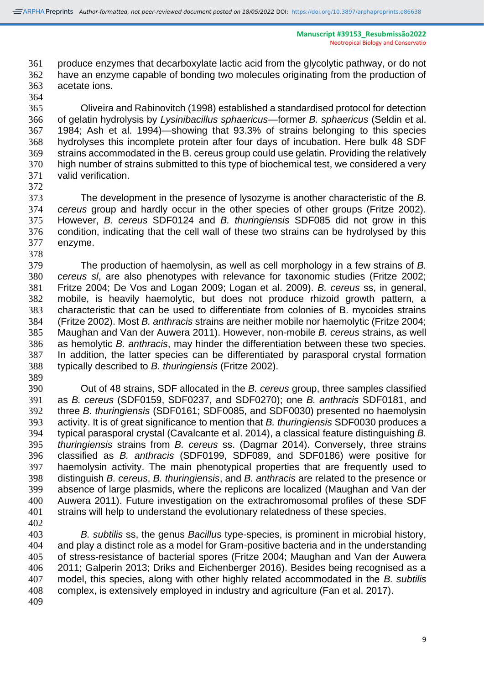produce enzymes that decarboxylate lactic acid from the glycolytic pathway, or do not have an enzyme capable of bonding two molecules originating from the production of acetate ions.

 Oliveira and Rabinovitch (1998) established a standardised protocol for detection of gelatin hydrolysis by *Lysinibacillus sphaericus*—former *B. sphaericus* (Seldin et al. 1984; Ash et al. 1994)—showing that 93.3% of strains belonging to this species hydrolyses this incomplete protein after four days of incubation. Here bulk 48 SDF strains accommodated in the B. cereus group could use gelatin. Providing the relatively high number of strains submitted to this type of biochemical test, we considered a very valid verification.

 The development in the presence of lysozyme is another characteristic of the *B. cereus* group and hardly occur in the other species of other groups (Fritze 2002). However, *B. cereus* SDF0124 and *B. thuringiensis* SDF085 did not grow in this condition, indicating that the cell wall of these two strains can be hydrolysed by this enzyme. 

 The production of haemolysin, as well as cell morphology in a few strains of *B. cereus sl*, are also phenotypes with relevance for taxonomic studies (Fritze 2002; Fritze 2004; De Vos and Logan 2009; Logan et al. 2009). *B. cereus* ss, in general, mobile, is heavily haemolytic, but does not produce rhizoid growth pattern, a characteristic that can be used to differentiate from colonies of B. mycoides strains (Fritze 2002). Most *B. anthracis* strains are neither mobile nor haemolytic (Fritze 2004; Maughan and Van der Auwera 2011). However, non-mobile *B. cereus* strains, as well as hemolytic *B. anthracis*, may hinder the differentiation between these two species. In addition, the latter species can be differentiated by parasporal crystal formation typically described to *B. thuringiensis* (Fritze 2002).

 Out of 48 strains, SDF allocated in the *B. cereus* group, three samples classified as *B. cereus* (SDF0159, SDF0237, and SDF0270); one *B. anthracis* SDF0181, and three *B. thuringiensis* (SDF0161; SDF0085, and SDF0030) presented no haemolysin activity. It is of great significance to mention that *B. thuringiensis* SDF0030 produces a typical parasporal crystal (Cavalcante et al. 2014), a classical feature distinguishing *B. thuringiensis* strains from *B. cereus* ss. (Dagmar 2014). Conversely, three strains classified as *B. anthracis* (SDF0199, SDF089, and SDF0186) were positive for haemolysin activity. The main phenotypical properties that are frequently used to distinguish *B. cereus*, *B. thuringiensis*, and *B. anthracis* are related to the presence or absence of large plasmids, where the replicons are localized (Maughan and Van der Auwera 2011). Future investigation on the extrachromosomal profiles of these SDF strains will help to understand the evolutionary relatedness of these species.

 *B. subtilis* ss, the genus *Bacillus* type-species, is prominent in microbial history, and play a distinct role as a model for Gram-positive bacteria and in the understanding of stress-resistance of bacterial spores (Fritze 2004; Maughan and Van der Auwera 2011; Galperin 2013; Driks and Eichenberger 2016). Besides being recognised as a model, this species, along with other highly related accommodated in the *B. subtilis* complex, is extensively employed in industry and agriculture (Fan et al. 2017).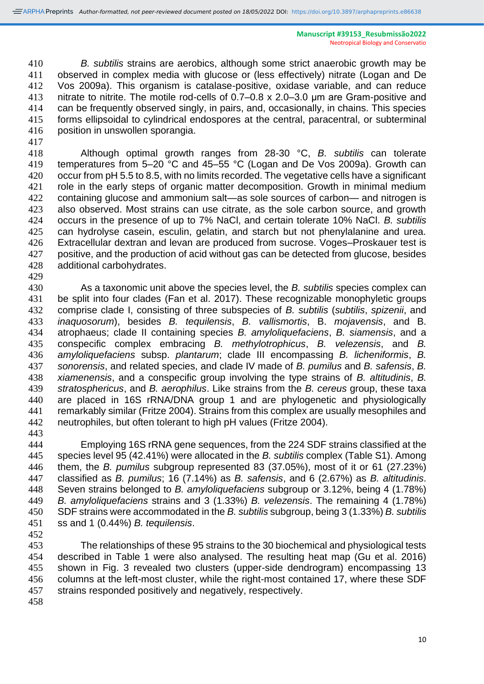*B. subtilis* strains are aerobics, although some strict anaerobic growth may be observed in complex media with glucose or (less effectively) nitrate (Logan and De Vos 2009a). This organism is catalase-positive, oxidase variable, and can reduce nitrate to nitrite. The motile rod-cells of 0.7–0.8 x 2.0–3.0 μm are Gram-positive and can be frequently observed singly, in pairs, and, occasionally, in chains. This species forms ellipsoidal to cylindrical endospores at the central, paracentral, or subterminal position in unswollen sporangia.

 Although optimal growth ranges from 28-30 °C, *B. subtilis* can tolerate temperatures from 5–20 °C and 45–55 °C (Logan and De Vos 2009a). Growth can 420 occur from pH 5.5 to 8.5, with no limits recorded. The vegetative cells have a significant role in the early steps of organic matter decomposition. Growth in minimal medium containing glucose and ammonium salt—as sole sources of carbon— and nitrogen is also observed. Most strains can use citrate, as the sole carbon source, and growth occurs in the presence of up to 7% NaCl, and certain tolerate 10% NaCl. *B. subtilis*  can hydrolyse casein, esculin, gelatin, and starch but not phenylalanine and urea. Extracellular dextran and levan are produced from sucrose. Voges–Proskauer test is positive, and the production of acid without gas can be detected from glucose, besides additional carbohydrates.

 As a taxonomic unit above the species level, the *B. subtilis* species complex can be split into four clades (Fan et al. 2017). These recognizable monophyletic groups comprise clade I, consisting of three subspecies of *B. subtilis* (*subtilis*, *spizenii*, and *inaquosorum*), besides *B. tequilensis*, *B. vallismortis*, B. *mojavensis*, and B. atrophaeus; clade II containing species *B. amyloliquefaciens*, *B. siamensis*, and a conspecific complex embracing *B. methylotrophicus*, *B. velezensis*, and *B. amyloliquefaciens* subsp. *plantarum*; clade III encompassing *B. licheniformis*, *B. sonorensis*, and related species, and clade IV made of *B. pumilus* and *B. safensis*, *B. xiamenensis*, and a conspecific group involving the type strains of *B. altitudinis*, *B. stratosphericus*, and *B. aerophilus*. Like strains from the *B. cereus* group, these taxa are placed in 16S rRNA/DNA group 1 and are phylogenetic and physiologically remarkably similar (Fritze 2004). Strains from this complex are usually mesophiles and neutrophiles, but often tolerant to high pH values (Fritze 2004).

 Employing 16S rRNA gene sequences, from the 224 SDF strains classified at the species level 95 (42.41%) were allocated in the *B. subtilis* complex (Table S1). Among them, the *B. pumilus* subgroup represented 83 (37.05%), most of it or 61 (27.23%) classified as *B. pumilus*; 16 (7.14%) as *B. safensis*, and 6 (2.67%) as *B. altitudinis*. Seven strains belonged to *B. amyloliquefaciens* subgroup or 3.12%, being 4 (1.78%) *B. amyloliquefaciens* strains and 3 (1.33%) *B. velezensis*. The remaining 4 (1.78%) SDF strains were accommodated in the *B. subtilis* subgroup, being 3 (1.33%) *B. subtilis* ss and 1 (0.44%) *B. tequilensis*.

 The relationships of these 95 strains to the 30 biochemical and physiological tests described in Table 1 were also analysed. The resulting heat map (Gu et al. 2016) shown in Fig. 3 revealed two clusters (upper-side dendrogram) encompassing 13 columns at the left-most cluster, while the right-most contained 17, where these SDF strains responded positively and negatively, respectively.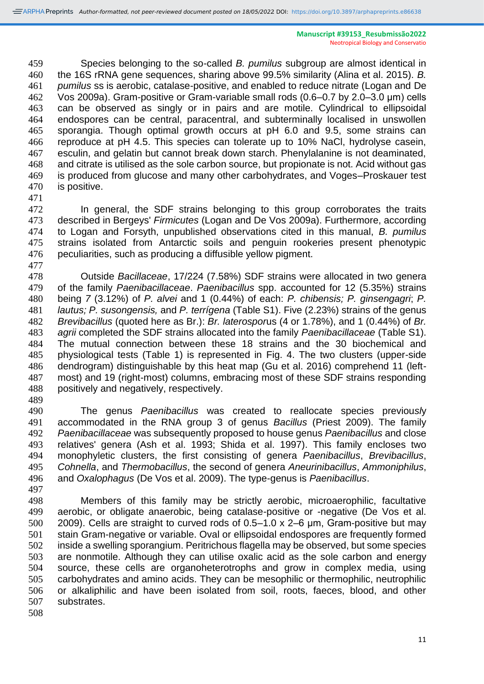Species belonging to the so-called *B. pumilus* subgroup are almost identical in the 16S rRNA gene sequences, sharing above 99.5% similarity (Alina et al. 2015). *B. pumilus* ss is aerobic, catalase-positive, and enabled to reduce nitrate (Logan and De Vos 2009a). Gram-positive or Gram-variable small rods (0.6–0.7 by 2.0–3.0 μm) cells can be observed as singly or in pairs and are motile. Cylindrical to ellipsoidal endospores can be central, paracentral, and subterminally localised in unswollen sporangia. Though optimal growth occurs at pH 6.0 and 9.5, some strains can reproduce at pH 4.5. This species can tolerate up to 10% NaCl, hydrolyse casein, esculin, and gelatin but cannot break down starch. Phenylalanine is not deaminated, and citrate is utilised as the sole carbon source, but propionate is not. Acid without gas is produced from glucose and many other carbohydrates, and Voges–Proskauer test is positive.

 In general, the SDF strains belonging to this group corroborates the traits described in Bergeys' *Firmicutes* (Logan and De Vos 2009a). Furthermore, according to Logan and Forsyth, unpublished observations cited in this manual, *B. pumilus* strains isolated from Antarctic soils and penguin rookeries present phenotypic peculiarities, such as producing a diffusible yellow pigment.

 Outside *Bacillaceae*, 17/224 (7.58%) SDF strains were allocated in two genera of the family *Paenibacillaceae*. *Paenibacillus* spp. accounted for 12 (5.35%) strains being *7* (3.12%) of *P. alvei* and 1 (0.44%) of each: *P. chibensis; P. ginsengagri*; *P. lautus; P. susongensis,* and *P. terrígena* (Table S1). Five (2.23%) strains of the genus *Brevibacillus* (quoted here as Br.): *Br. laterospor*us (4 or 1.78%), and 1 (0.44%) of *Br. agrii* completed the SDF strains allocated into the family *Paenibacillaceae* (Table S1). The mutual connection between these 18 strains and the 30 biochemical and physiological tests (Table 1) is represented in Fig. 4. The two clusters (upper-side dendrogram) distinguishable by this heat map (Gu et al. 2016) comprehend 11 (left- most) and 19 (right-most) columns, embracing most of these SDF strains responding positively and negatively, respectively. 

 The genus *Paenibacillus* was created to reallocate species previou*sl*y accommodated in the RNA group 3 of genus *Bacillus* (Priest 2009). The family *Paenibacillaceae* was subsequently proposed to house genus *Paenibacillus* and close relatives' genera (Ash et al. 1993; Shida et al. 1997). This family encloses two monophyletic clusters, the first consisting of genera *Paenibacillus*, *Brevibacillus*, *Cohnella*, and *Thermobacillus*, the second of genera *Aneurinibacillus*, *Ammoniphilus*, and *Oxalophagus* (De Vos et al. 2009). The type-genus is *Paenibacillus*.

 Members of this family may be strictly aerobic, microaerophilic, facultative aerobic, or obligate anaerobic, being catalase-positive or -negative (De Vos et al. 2009). Cells are straight to curved rods of 0.5–1.0 x 2–6 μm, Gram-positive but may stain Gram-negative or variable. Oval or ellipsoidal endospores are frequently formed inside a swelling sporangium. Peritrichous flagella may be observed, but some species are nonmotile. Although they can utilise oxalic acid as the sole carbon and energy source, these cells are organoheterotrophs and grow in complex media, using carbohydrates and amino acids. They can be mesophilic or thermophilic, neutrophilic or alkaliphilic and have been isolated from soil, roots, faeces, blood, and other substrates.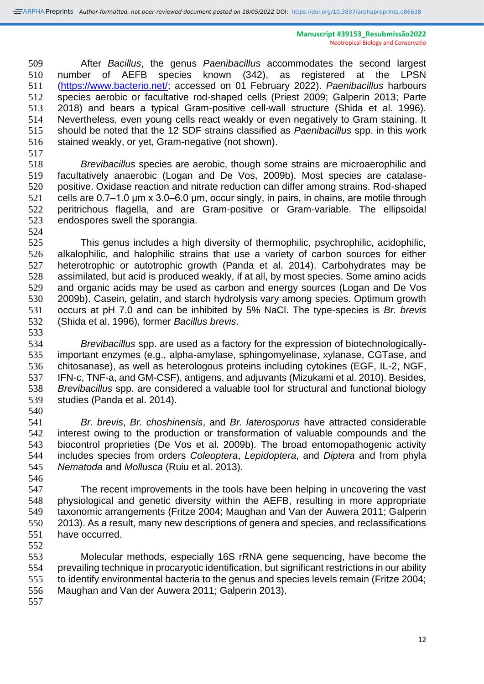**Manuscript #39153\_Resubmissão2022** Neotropical Biology and Conservatio

 After *Bacillus*, the genus *Paenibacillus* accommodates the second largest number of AEFB species known (342), as registered at the LPSN (https://www.bacterio.net/; accessed on 01 February 2022). *Paenibacillus* harbours species aerobic or facultative rod-shaped cells (Priest 2009; Galperin 2013; Parte 2018) and bears a typical Gram-positive cell-wall structure (Shida et al. 1996). Nevertheless, even young cells react weakly or even negatively to Gram staining. It should be noted that the 12 SDF strains classified as *Paenibacillus* spp. in this work stained weakly, or yet, Gram-negative (not shown).

 *Brevibacillus* species are aerobic, though some strains are microaerophilic and facultatively anaerobic (Logan and De Vos, 2009b). Most species are catalase- positive. Oxidase reaction and nitrate reduction can differ among strains. Rod-shaped cells are 0.7–1.0 μm x 3.0–6.0 μm, occur singly, in pairs, in chains, are motile through peritrichous flagella, and are Gram-positive or Gram-variable. The ellipsoidal endospores swell the sporangia.

 This genus includes a high diversity of thermophilic, psychrophilic, acidophilic, alkalophilic, and halophilic strains that use a variety of carbon sources for either heterotrophic or autotrophic growth (Panda et al. 2014). Carbohydrates may be assimilated, but acid is produced weakly, if at all, by most species. Some amino acids and organic acids may be used as carbon and energy sources (Logan and De Vos 2009b). Casein, gelatin, and starch hydrolysis vary among species. Optimum growth occurs at pH 7.0 and can be inhibited by 5% NaCl. The type-species is *Br. brevis*  (Shida et al. 1996), former *Bacillus brevis*.

 *Brevibacillus* spp. are used as a factory for the expression of biotechnologically- important enzymes (e.g., alpha-amylase, sphingomyelinase, xylanase, CGTase, and chitosanase), as well as heterologous proteins including cytokines (EGF, IL-2, NGF, IFN-c, TNF-a, and GM-CSF), antigens, and adjuvants (Mizukami et al. 2010). Besides, *Brevibacillus* spp. are considered a valuable tool for structural and functional biology studies (Panda et al. 2014).

 *Br. brevis*, *Br. choshinensis*, and *Br. laterosporus* have attracted considerable interest owing to the production or transformation of valuable compounds and the biocontrol proprieties (De Vos et al. 2009b). The broad entomopathogenic activity includes species from orders *Coleoptera*, *Lepidoptera*, and *Diptera* and from phyla *Nematoda* and *Mollusca* (Ruiu et al. 2013).

 The recent improvements in the tools have been helping in uncovering the vast physiological and genetic diversity within the AEFB, resulting in more appropriate taxonomic arrangements (Fritze 2004; Maughan and Van der Auwera 2011; Galperin 2013). As a result, many new descriptions of genera and species, and reclassifications have occurred.

 Molecular methods, especially 16S rRNA gene sequencing, have become the prevailing technique in procaryotic identification, but significant restrictions in our ability to identify environmental bacteria to the genus and species levels remain (Fritze 2004; Maughan and Van der Auwera 2011; Galperin 2013).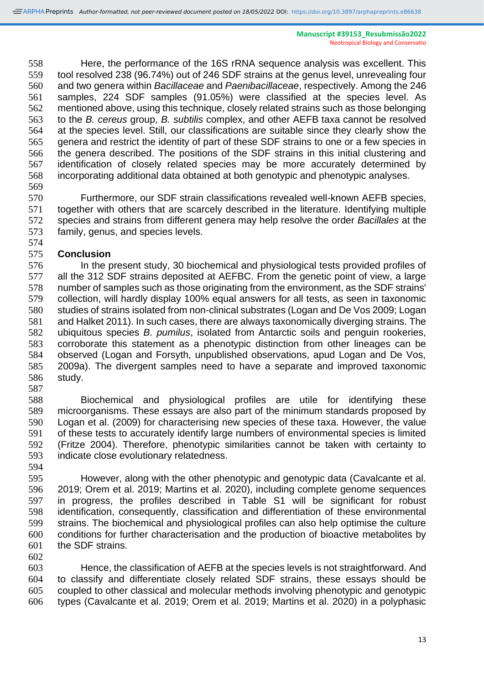Here, the performance of the 16S rRNA sequence analysis was excellent. This tool resolved 238 (96.74%) out of 246 SDF strains at the genus level, unrevealing four and two genera within *Bacillaceae* and *Paenibacillaceae*, respectively. Among the 246 samples, 224 SDF samples (91.05%) were classified at the species level. As mentioned above, using this technique, closely related strains such as those belonging to the *B. cereus* group, *B. subtilis* complex, and other AEFB taxa cannot be resolved at the species level. Still, our classifications are suitable since they clearly show the genera and restrict the identity of part of these SDF strains to one or a few species in the genera described. The positions of the SDF strains in this initial clustering and identification of closely related species may be more accurately determined by incorporating additional data obtained at both genotypic and phenotypic analyses. 

 Furthermore, our SDF strain classifications revealed well-known AEFB species, together with others that are scarcely described in the literature. Identifying multiple species and strains from different genera may help resolve the order *Bacillales* at the family, genus, and species levels.

# **Conclusion**

 In the present study, 30 biochemical and physiological tests provided profiles of all the 312 SDF strains deposited at AEFBC. From the genetic point of view, a large number of samples such as those originating from the environment, as the SDF strains' collection, will hardly display 100% equal answers for all tests, as seen in taxonomic studies of strains isolated from non-clinical substrates (Logan and De Vos 2009; Logan and Halket 2011). In such cases, there are always taxonomically diverging strains. The ubiquitous species *B. pumilus*, isolated from Antarctic soils and penguin rookeries, corroborate this statement as a phenotypic distinction from other lineages can be observed (Logan and Forsyth, unpublished observations, apud Logan and De Vos, 2009a). The divergent samples need to have a separate and improved taxonomic study.

 Biochemical and physiological profiles are utile for identifying these microorganisms. These essays are also part of the minimum standards proposed by Logan et al. (2009) for characterising new species of these taxa. However, the value of these tests to accurately identify large numbers of environmental species is limited (Fritze 2004). Therefore, phenotypic similarities cannot be taken with certainty to indicate close evolutionary relatedness.

 However, along with the other phenotypic and genotypic data (Cavalcante et al. 2019; Orem et al. 2019; Martins et al. 2020), including complete genome sequences in progress, the profiles described in Table S1 will be significant for robust identification, consequently, classification and differentiation of these environmental strains. The biochemical and physiological profiles can also help optimise the culture conditions for further characterisation and the production of bioactive metabolites by the SDF strains.

 Hence, the classification of AEFB at the species levels is not straightforward. And to classify and differentiate closely related SDF strains, these essays should be coupled to other classical and molecular methods involving phenotypic and genotypic types (Cavalcante et al. 2019; Orem et al. 2019; Martins et al. 2020) in a polyphasic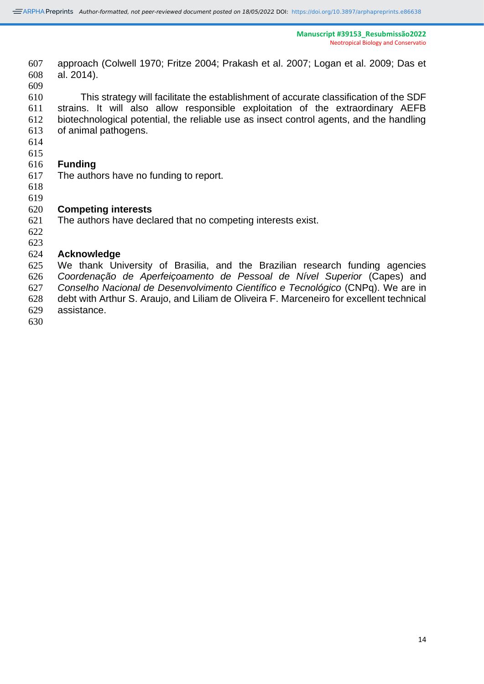approach (Colwell 1970; Fritze 2004; Prakash et al. 2007; Logan et al. 2009; Das et al. 2014).

 This strategy will facilitate the establishment of accurate classification of the SDF strains. It will also allow responsible exploitation of the extraordinary AEFB biotechnological potential, the reliable use as insect control agents, and the handling of animal pathogens.

- 
- 

## **Funding**

- The authors have no funding to report.
- 
- 

## **Competing interests**

- The authors have declared that no competing interests exist.
- 
- 

# **Acknowledge**

 We thank University of Brasilia, and the Brazilian research funding agencies *Coordenação de Aperfeiçoamento de Pessoal de Nível Superior* (Capes) and *Conselho Nacional de Desenvolvimento Científico e Tecnológico* (CNPq). We are in debt with Arthur S. Araujo, and Liliam de Oliveira F. Marceneiro for excellent technical assistance.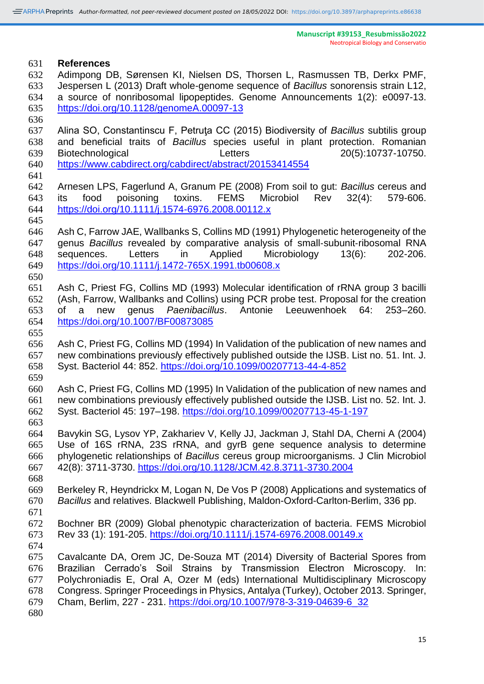## **References**

 Adimpong DB, Sørensen KI, Nielsen DS, Thorsen L, Rasmussen TB, Derkx PMF, Jespersen L (2013) Draft whole-genome sequence of *Bacillus* sonorensis strain L12, a source of nonribosomal lipopeptides. Genome Announcements 1(2): e0097-13. https://doi.org/10.1128/genomeA.00097-13

- Alina SO, Constantinscu F, Petruţa CC (2015) Biodiversity of *Bacillus* subtilis group and beneficial traits of *Bacillus* species useful in plant protection. Romanian Biotechnological Letters 20(5):10737-10750. https://www.cabdirect.org/cabdirect/abstract/20153414554
- Arnesen LPS, Fagerlund A, Granum PE (2008) From soil to gut: *Bacillus* cereus and its food poisoning toxins. FEMS Microbiol Rev 32(4): 579-606. https://doi.org/10.1111/j.1574-6976.2008.00112.x
- Ash C, Farrow JAE, Wallbanks S, Collins MD (1991) Phylogenetic heterogeneity of the genus *Bacillus* revealed by comparative analysis of small‐subunit‐ribosomal RNA sequences. Letters in Applied Microbiology 13(6): 202-206. https://doi.org/10.1111/j.1472-765X.1991.tb00608.x
- Ash C, Priest FG, Collins MD (1993) Molecular identification of rRNA group 3 bacilli (Ash, Farrow, Wallbanks and Collins) using PCR probe test. Proposal for the creation of a new genus *Paenibacillus*. Antonie Leeuwenhoek 64: 253–260. https://doi.org/10.1007/BF00873085
- Ash C, Priest FG, Collins MD (1994) In Validation of the publication of new names and new combinations previou*sl*y effectively published outside the IJSB. List no. 51. Int. J. Syst. Bacteriol 44: 852. https://doi.org/10.1099/00207713-44-4-852
- Ash C, Priest FG, Collins MD (1995) In Validation of the publication of new names and new combinations previou*sl*y effectively published outside the IJSB. List no. 52. Int. J. Syst. Bacteriol 45: 197–198. https://doi.org/10.1099/00207713-45-1-197
- Bavykin SG, Lysov YP, Zakhariev V, Kelly JJ, Jackman J, Stahl DA, Cherni A (2004) Use of 16S rRNA, 23S rRNA, and gyrB gene sequence analysis to determine phylogenetic relationships of *Bacillus* cereus group microorganisms. J Clin Microbiol 42(8): 3711-3730. https://doi.org/10.1128/JCM.42.8.3711-3730.2004
- Berkeley R, Heyndrickx M, Logan N, De Vos P (2008) Applications and systematics of *Bacillus* and relatives. Blackwell Publishing, Maldon-Oxford-Carlton-Berlim, 336 pp.
- 
- Bochner BR (2009) Global phenotypic characterization of bacteria. FEMS Microbiol Rev 33 (1): 191-205. https://doi.org/10.1111/j.1574-6976.2008.00149.x
- 
- Cavalcante DA, Orem JC, De-Souza MT (2014) Diversity of Bacterial Spores from Brazilian Cerrado's Soil Strains by Transmission Electron Microscopy. In: Polychroniadis E, Oral A, Ozer M (eds) International Multidisciplinary Microscopy Congress. Springer Proceedings in Physics, Antalya (Turkey), October 2013. Springer, Cham, Berlim, 227 - 231. https://doi.org/10.1007/978-3-319-04639-6\_32
-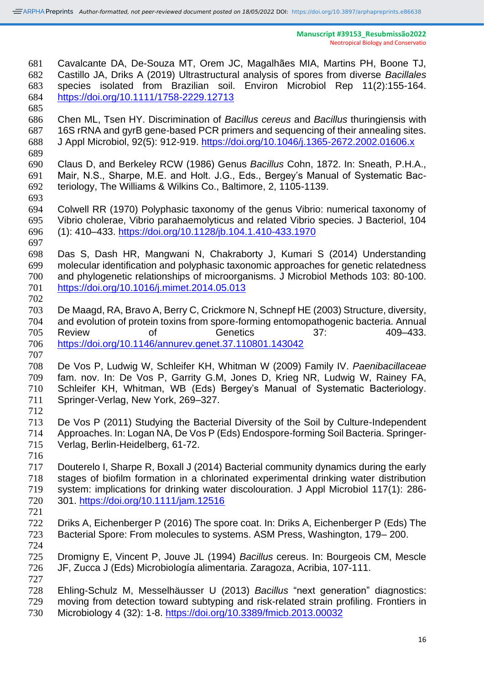Cavalcante DA, De-Souza MT, Orem JC, Magalhães MIA, Martins PH, Boone TJ, Castillo JA, Driks A (2019) Ultrastructural analysis of spores from diverse *Bacillales*  species isolated from Brazilian soil. Environ Microbiol Rep 11(2):155-164. https://doi.org/10.1111/1758-2229.12713

- Chen ML, Tsen HY. Discrimination of *Bacillus cereus* and *Bacillus* thuringiensis with 16S rRNA and gyrB gene-based PCR primers and sequencing of their annealing sites. J Appl Microbiol, 92(5): 912-919. https://doi.org/10.1046/j.1365-2672.2002.01606.x
- Claus D, and Berkeley RCW (1986) Genus *Bacillus* Cohn, 1872. In: Sneath, P.H.A., Mair, N.S., Sharpe, M.E. and Holt. J.G., Eds., Bergey's Manual of Systematic Bac-teriology, The Williams & Wilkins Co., Baltimore, 2, 1105-1139.
- 
- Colwell RR (1970) Polyphasic taxonomy of the genus Vibrio: numerical taxonomy of Vibrio cholerae, Vibrio parahaemolyticus and related Vibrio species. J Bacteriol, 104 (1): 410–433. https://doi.org/10.1128/jb.104.1.410-433.1970
- Das S, Dash HR, Mangwani N, Chakraborty J, Kumari S (2014) Understanding molecular identification and polyphasic taxonomic approaches for genetic relatedness and phylogenetic relationships of microorganisms. J Microbiol Methods 103: 80-100. https://doi.org/10.1016/j.mimet.2014.05.013
- De Maagd, RA, Bravo A, Berry C, Crickmore N, Schnepf HE (2003) Structure, diversity, and evolution of protein toxins from spore-forming entomopathogenic bacteria. Annual Review of Genetics 37: 409–433. https://doi.org/10.1146/annurev.genet.37.110801.143042
- De Vos P, Ludwig W, Schleifer KH, Whitman W (2009) Family IV. *Paenibacillaceae* fam. nov. In: De Vos P, Garrity G.M, Jones D, Krieg NR, Ludwig W, Rainey FA, Schleifer KH, Whitman, WB (Eds) Bergey's Manual of Systematic Bacteriology. Springer-Verlag, New York, 269–327.
- De Vos P (2011) Studying the Bacterial Diversity of the Soil by Culture-Independent Approaches. In: Logan NA, De Vos P (Eds) Endospore-forming Soil Bacteria. Springer-Verlag, Berlin-Heidelberg, 61-72.
- 

- Douterelo I, Sharpe R, Boxall J (2014) Bacterial community dynamics during the early stages of biofilm formation in a chlorinated experimental drinking water distribution system: implications for drinking water discolouration. J Appl Microbiol 117(1): 286- 301. https://doi.org/10.1111/jam.12516
- Driks A, Eichenberger P (2016) The spore coat. In: Driks A, Eichenberger P (Eds) The Bacterial Spore: From molecules to systems. ASM Press, Washington, 179– 200.
- 
- Dromigny E, Vincent P, Jouve JL (1994) *Bacillus* cereus. In: Bourgeois CM, Mescle JF, Zucca J (Eds) Microbiología alimentaria. Zaragoza, Acribia, 107-111.
- Ehling-Schulz M, Messelhäusser U (2013) *Bacillus* "next generation" diagnostics: moving from detection toward subtyping and risk-related strain profiling. Frontiers in Microbiology 4 (32): 1-8. https://doi.org/10.3389/fmicb.2013.00032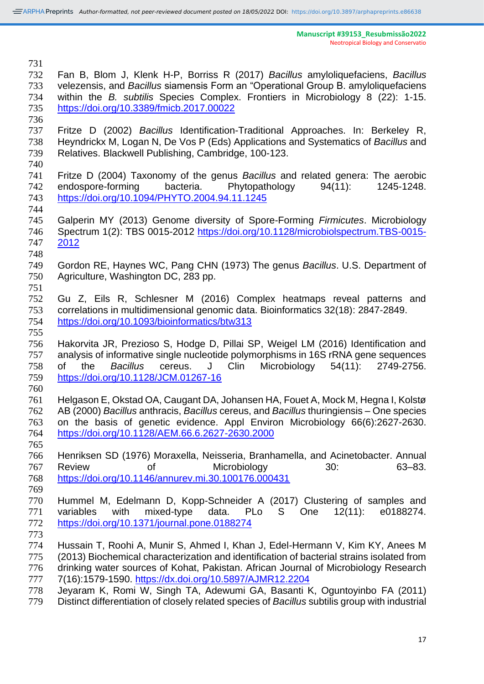Fan B, Blom J, Klenk H-P, Borriss R (2017) *Bacillus* amyloliquefaciens, *Bacillus* velezensis, and *Bacillus* siamensis Form an "Operational Group B. amyloliquefaciens within the *B. subtilis* Species Complex. Frontiers in Microbiology 8 (22): 1-15. https://doi.org/10.3389/fmicb.2017.00022 

- Fritze D (2002) *Bacillus* Identification-Traditional Approaches. In: Berkeley R, Heyndrickx M, Logan N, De Vos P (Eds) Applications and Systematics of *Bacillus* and Relatives. Blackwell Publishing, Cambridge, 100-123.
- Fritze D (2004) Taxonomy of the genus *Bacillus* and related genera: The aerobic endospore-forming bacteria. Phytopathology 94(11): 1245-1248. https://doi.org/10.1094/PHYTO.2004.94.11.1245
- Galperin MY (2013) Genome diversity of Spore-Forming *Firmicutes*. Microbiology Spectrum 1(2): TBS 0015-2012 https://doi.org/10.1128/microbiolspectrum.TBS-0015- 2012
- Gordon RE, Haynes WC, Pang CHN (1973) The genus *Bacillus*. U.S. Department of Agriculture, Washington DC, 283 pp.
- Gu Z, Eils R, Schlesner M (2016) Complex heatmaps reveal patterns and correlations in multidimensional genomic data. Bioinformatics 32(18): 2847-2849. https://doi.org/10.1093/bioinformatics/btw313
- Hakorvita JR, Prezioso S, Hodge D, Pillai SP, Weigel LM (2016) Identification and analysis of informative single nucleotide polymorphisms in 16S rRNA gene sequences of the *Bacillus* cereus. J Clin Microbiology 54(11): 2749-2756. https://doi.org/10.1128/JCM.01267-16
- Helgason E, Okstad OA, Caugant DA, Johansen HA, Fouet A, Mock M, Hegna I, Kolstø AB (2000) *Bacillus* anthracis, *Bacillus* cereus, and *Bacillus* thuringiensis – One species on the basis of genetic evidence. Appl Environ Microbiology 66(6):2627-2630. https://doi.org/10.1128/AEM.66.6.2627-2630.2000
- Henriksen SD (1976) Moraxella, Neisseria, Branhamella, and Acinetobacter. Annual Review of Microbiology 30: 63–83. https://doi.org/10.1146/annurev.mi.30.100176.000431
- Hummel M, Edelmann D, Kopp-Schneider A (2017) Clustering of samples and variables with mixed-type data. PLo S One 12(11): e0188274. https://doi.org/10.1371/journal.pone.0188274
- 

- Hussain T, Roohi A, Munir S, Ahmed I, Khan J, Edel-Hermann V, Kim KY, Anees M (2013) Biochemical characterization and identification of bacterial strains isolated from drinking water sources of Kohat, Pakistan. African Journal of Microbiology Research 7(16):1579-1590. https://dx.doi.org/10.5897/AJMR12.2204
- Jeyaram K, Romi W, Singh TA, Adewumi GA, Basanti K, Oguntoyinbo FA (2011)
- Distinct differentiation of closely related species of *Bacillus* subtilis group with industrial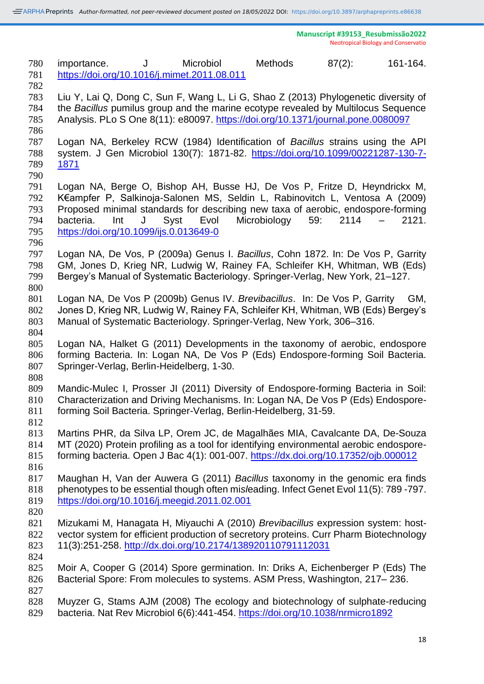| RRPHA Preprints - Author-formatted, not peer-reviewed document posted on 18/05/2022 DOI: https://doi.org/10.3897/arphapreprints.e86638 |                                                                                                                                                                                                                                                                                                                                                                         |                                            |  |  |  |  |
|----------------------------------------------------------------------------------------------------------------------------------------|-------------------------------------------------------------------------------------------------------------------------------------------------------------------------------------------------------------------------------------------------------------------------------------------------------------------------------------------------------------------------|--------------------------------------------|--|--|--|--|
|                                                                                                                                        | Manuscript #39153_Resubmissão2022                                                                                                                                                                                                                                                                                                                                       | <b>Neotropical Biology and Conservatio</b> |  |  |  |  |
| 780<br>781<br>782                                                                                                                      | Microbiol<br><b>Methods</b><br>$87(2)$ :<br>importance.<br>J<br>https://doi.org/10.1016/j.mimet.2011.08.011                                                                                                                                                                                                                                                             | 161-164.                                   |  |  |  |  |
| 783<br>784<br>785<br>786                                                                                                               | Liu Y, Lai Q, Dong C, Sun F, Wang L, Li G, Shao Z (2013) Phylogenetic diversity of<br>the Bacillus pumilus group and the marine ecotype revealed by Multilocus Sequence<br>Analysis. PLo S One 8(11): e80097. https://doi.org/10.1371/journal.pone.0080097                                                                                                              |                                            |  |  |  |  |
| 787<br>788<br>789<br>790                                                                                                               | Logan NA, Berkeley RCW (1984) Identification of Bacillus strains using the API<br>system. J Gen Microbiol 130(7): 1871-82. https://doi.org/10.1099/00221287-130-7-<br>1871                                                                                                                                                                                              |                                            |  |  |  |  |
| 791<br>792<br>793<br>794<br>795<br>796                                                                                                 | Logan NA, Berge O, Bishop AH, Busse HJ, De Vos P, Fritze D, Heyndrickx M,<br>K€ampfer P, Salkinoja-Salonen MS, Seldin L, Rabinovitch L, Ventosa A (2009)<br>Proposed minimal standards for describing new taxa of aerobic, endospore-forming<br>Evol<br>Microbiology<br>2114<br>bacteria.<br>Int<br>J<br>Syst<br>59:<br>2121.<br>https://doi.org/10.1099/ijs.0.013649-0 |                                            |  |  |  |  |
| 797<br>798<br>799<br>800                                                                                                               | Logan NA, De Vos, P (2009a) Genus I. Bacillus, Cohn 1872. In: De Vos P, Garrity<br>GM, Jones D, Krieg NR, Ludwig W, Rainey FA, Schleifer KH, Whitman, WB (Eds)<br>Bergey's Manual of Systematic Bacteriology. Springer-Verlag, New York, 21–127.                                                                                                                        |                                            |  |  |  |  |
| 801<br>802<br>803<br>804                                                                                                               | Logan NA, De Vos P (2009b) Genus IV. Brevibacillus. In: De Vos P, Garrity<br>Jones D, Krieg NR, Ludwig W, Rainey FA, Schleifer KH, Whitman, WB (Eds) Bergey's<br>Manual of Systematic Bacteriology. Springer-Verlag, New York, 306-316.                                                                                                                                 | GM,                                        |  |  |  |  |
| 805<br>806<br>807<br>808                                                                                                               | Logan NA, Halket G (2011) Developments in the taxonomy of aerobic, endospore<br>forming Bacteria. In: Logan NA, De Vos P (Eds) Endospore-forming Soil Bacteria.<br>Springer-Verlag, Berlin-Heidelberg, 1-30.                                                                                                                                                            |                                            |  |  |  |  |
| 809                                                                                                                                    | Mandic-Mulec I, Prosser JI (2011) Diversity of Endospore-forming Bacteria in Soil:                                                                                                                                                                                                                                                                                      |                                            |  |  |  |  |

 Characterization and Driving Mechanisms. In: Logan NA, De Vos P (Eds) Endospore-forming Soil Bacteria. Springer-Verlag, Berlin-Heidelberg, 31-59.

 Martins PHR, da Silva LP, Orem JC, de Magalhães MIA, Cavalcante DA, De-Souza MT (2020) Protein profiling as a tool for identifying environmental aerobic endospore-forming bacteria. Open J Bac 4(1): 001-007. https://dx.doi.org/10.17352/ojb.000012

- Maughan H, Van der Auwera G (2011) *Bacillus* taxonomy in the genomic era finds phenotypes to be essential though often mi*sl*eading. Infect Genet Evol 11(5): 789 -797. https://doi.org/10.1016/j.meegid.2011.02.001
- 
- Mizukami M, Hanagata H, Miyauchi A (2010) *Brevibacillus* expression system: host- vector system for efficient production of secretory proteins. Curr Pharm Biotechnology 11(3):251-258. http://dx.doi.org/10.2174/138920110791112031
- 
- Moir A, Cooper G (2014) Spore germination. In: Driks A, Eichenberger P (Eds) The Bacterial Spore: From molecules to systems. ASM Press, Washington, 217– 236.
- Muyzer G, Stams AJM (2008) The ecology and biotechnology of sulphate-reducing bacteria. Nat Rev Microbiol 6(6):441-454. https://doi.org/10.1038/nrmicro1892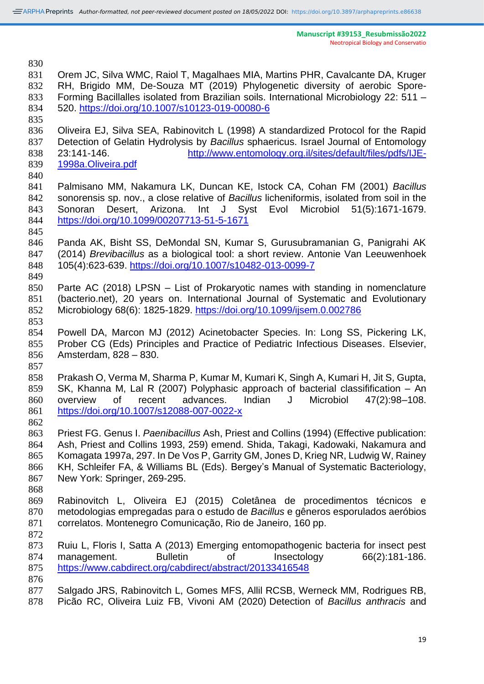Orem JC, Silva WMC, Raiol T, Magalhaes MIA, Martins PHR, Cavalcante DA, Kruger RH, Brigido MM, De-Souza MT (2019) Phylogenetic diversity of aerobic Spore- Forming Bacillalles isolated from Brazilian soils. International Microbiology 22: 511 – 520. https://doi.org/10.1007/s10123-019-00080-6 

- Oliveira EJ, Silva SEA, Rabinovitch L (1998) A standardized Protocol for the Rapid Detection of Gelatin Hydrolysis by *Bacillus* sphaericus. Israel Journal of Entomology 23:141-146. http://www.entomology.org.il/sites/default/files/pdfs/IJE-1998a.Oliveira.pdf
- Palmisano MM, Nakamura LK, Duncan KE, Istock CA, Cohan FM (2001) *Bacillus* sonorensis sp. nov., a close relative of *Bacillus* licheniformis, isolated from soil in the Sonoran Desert, Arizona. Int J Syst Evol Microbiol 51(5):1671-1679. https://doi.org/10.1099/00207713-51-5-1671
- Panda AK, Bisht SS, DeMondal SN, Kumar S, Gurusubramanian G, Panigrahi AK (2014) *Brevibacillus* as a biological tool: a short review. Antonie Van Leeuwenhoek 105(4):623-639. https://doi.org/10.1007/s10482-013-0099-7
- Parte AC (2018) LPSN List of Prokaryotic names with standing in nomenclature (bacterio.net), 20 years on. International Journal of Systematic and Evolutionary Microbiology 68(6): 1825-1829. https://doi.org/10.1099/ijsem.0.002786
- Powell DA, Marcon MJ (2012) Acinetobacter Species. In: Long SS, Pickering LK, Prober CG (Eds) Principles and Practice of Pediatric Infectious Diseases. Elsevier, Amsterdam, 828 – 830.
- 

- Prakash O, Verma M, Sharma P, Kumar M, Kumari K, Singh A, Kumari H, Jit S, Gupta, SK, Khanna M, Lal R (2007) Polyphasic approach of bacterial classifification – An overview of recent advances. Indian J Microbiol 47(2):98–108. https://doi.org/10.1007/s12088-007-0022-x
- Priest FG. Genus I. *Paenibacillus* Ash, Priest and Collins (1994) (Effective publication: Ash, Priest and Collins 1993, 259) emend. Shida, Takagi, Kadowaki, Nakamura and Komagata 1997a, 297. In De Vos P, Garrity GM, Jones D, Krieg NR, Ludwig W, Rainey KH, Schleifer FA, & Williams BL (Eds). Bergey's Manual of Systematic Bacteriology, New York: Springer, 269-295.
- 
- Rabinovitch L, Oliveira EJ (2015) Coletânea de procedimentos técnicos e metodologias empregadas para o estudo de *Bacillus* e gêneros esporulados aeróbios correlatos. Montenegro Comunicação, Rio de Janeiro, 160 pp.
- 
- Ruiu L, Floris I, Satta A (2013) Emerging entomopathogenic bacteria for insect pest management. Bulletin of Insectology 66(2):181-186. https://www.cabdirect.org/cabdirect/abstract/20133416548
- 
- Salgado JRS, Rabinovitch L, Gomes MFS, Allil RCSB, Werneck MM, Rodrigues RB, Picão RC, Oliveira Luiz FB, Vivoni AM (2020) Detection of *Bacillus anthracis* and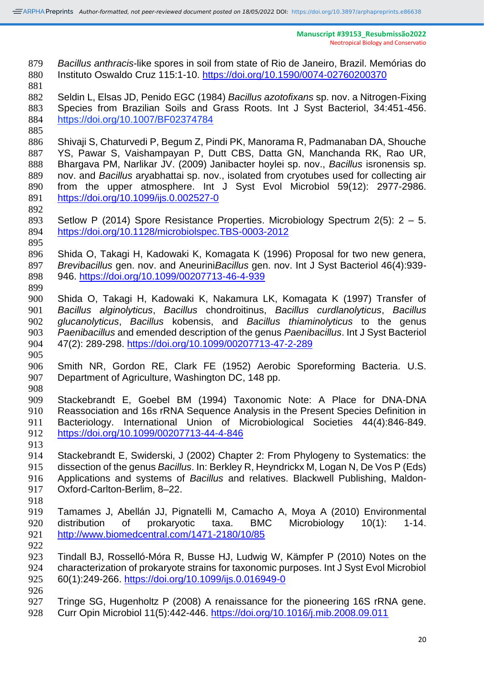- *Bacillus anthracis*-like spores in soil from state of Rio de Janeiro, Brazil. Memórias do Instituto Oswaldo Cruz 115:1-10. https://doi.org/10.1590/0074-02760200370
- 
- Seldin L, Elsas JD, Penido EGC (1984) *Bacillus azotofixans* sp. nov. a Nitrogen-Fixing Species from Brazilian Soils and Grass Roots. Int J Syst Bacteriol, 34:451-456. https://doi.org/10.1007/BF02374784
- 

 Shivaji S, Chaturvedi P, Begum Z, Pindi PK, Manorama R, Padmanaban DA, Shouche YS, Pawar S, Vaishampayan P, Dutt CBS, Datta GN, Manchanda RK, Rao UR, Bhargava PM, Narlikar JV. (2009) Janibacter hoylei sp. nov., *Bacillus* isronensis sp. nov. and *Bacillus* aryabhattai sp. nov., isolated from cryotubes used for collecting air from the upper atmosphere. Int J Syst Evol Microbiol 59(12): 2977-2986. https://doi.org/10.1099/ijs.0.002527-0

- Setlow P (2014) Spore Resistance Properties. Microbiology Spectrum 2(5): 2 5. https://doi.org/10.1128/microbiolspec.TBS-0003-2012
- Shida O, Takagi H, Kadowaki K, Komagata K (1996) Proposal for two new genera, *Brevibacillus* gen. nov. and Aneurini*Bacillus* gen. nov. Int J Syst Bacteriol 46(4):939- 946. https://doi.org/10.1099/00207713-46-4-939
- Shida O, Takagi H, Kadowaki K, Nakamura LK, Komagata K (1997) Transfer of *Bacillus alginolyticus*, *Bacillus* chondroitinus, *Bacillus curdlanolyticus*, *Bacillus glucanolyticus*, *Bacillus* kobensis, and *Bacillus thiaminolyticus* to the genus *Paenibacillus* and emended description of the genus *Paenibacillus*. Int J Syst Bacteriol 47(2): 289-298. https://doi.org/10.1099/00207713-47-2-289
- Smith NR, Gordon RE, Clark FE (1952) Aerobic Sporeforming Bacteria. U.S. Department of Agriculture, Washington DC, 148 pp.
- 
- Stackebrandt E, Goebel BM (1994) Taxonomic Note: A Place for DNA-DNA Reassociation and 16s rRNA Sequence Analysis in the Present Species Definition in Bacteriology. International Union of Microbiological Societies 44(4):846-849. https://doi.org/10.1099/00207713-44-4-846
- 
- Stackebrandt E, Swiderski, J (2002) Chapter 2: From Phylogeny to Systematics: the dissection of the genus *Bacillus*. In: Berkley R, Heyndrickx M, Logan N, De Vos P (Eds) Applications and systems of *Bacillus* and relatives. Blackwell Publishing, Maldon-Oxford-Carlton-Berlim, 8–22.
- 
- Tamames J, Abellán JJ, Pignatelli M, Camacho A, Moya A (2010) Environmental distribution of prokaryotic taxa. BMC Microbiology 10(1): 1-14. http://www.biomedcentral.com/1471-2180/10/85
- 
- Tindall BJ, Rosselló-Móra R, Busse HJ, Ludwig W, Kämpfer P (2010) Notes on the characterization of prokaryote strains for taxonomic purposes. Int J Syst Evol Microbiol 60(1):249-266. https://doi.org/10.1099/ijs.0.016949-0
- 

 Tringe SG, Hugenholtz P (2008) A renaissance for the pioneering 16S rRNA gene. Curr Opin Microbiol 11(5):442-446. https://doi.org/10.1016/j.mib.2008.09.011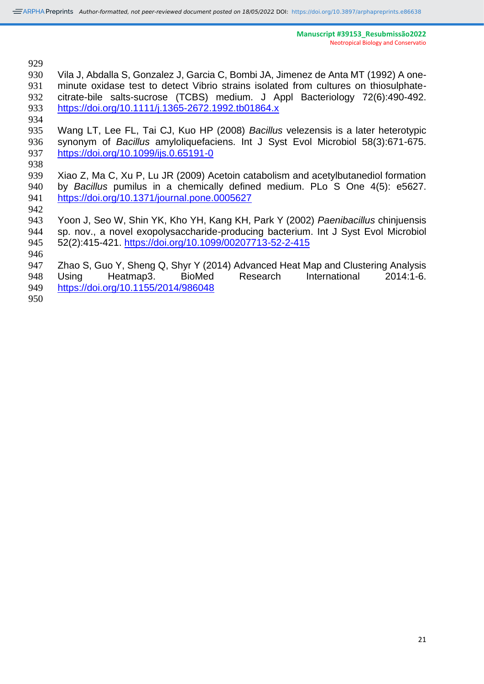Vila J, Abdalla S, Gonzalez J, Garcia C, Bombi JA, Jimenez de Anta MT (1992) A one- minute oxidase test to detect Vibrio strains isolated from cultures on thiosulphate- citrate-bile salts-sucrose (TCBS) medium. J Appl Bacteriology 72(6):490-492. https://doi.org/10.1111/j.1365-2672.1992.tb01864.x

- Wang LT, Lee FL, Tai CJ, Kuo HP (2008) *Bacillus* velezensis is a later heterotypic synonym of *Bacillus* amyloliquefaciens. Int J Syst Evol Microbiol 58(3):671-675. https://doi.org/10.1099/ijs.0.65191-0
- Xiao Z, Ma C, Xu P, Lu JR (2009) Acetoin catabolism and acetylbutanediol formation by *Bacillus* pumilus in a chemically defined medium. PLo S One 4(5): e5627. https://doi.org/10.1371/journal.pone.0005627
- 
- Yoon J, Seo W, Shin YK, Kho YH, Kang KH, Park Y (2002) *Paenibacillus* chinjuensis sp. nov., a novel exopolysaccharide-producing bacterium. Int J Syst Evol Microbiol 52(2):415-421. https://doi.org/10.1099/00207713-52-2-415
- 
- Zhao S, Guo Y, Sheng Q, Shyr Y (2014) Advanced Heat Map and Clustering Analysis Using Heatmap3. BioMed Research International 2014:1-6.
- https://doi.org/10.1155/2014/986048
-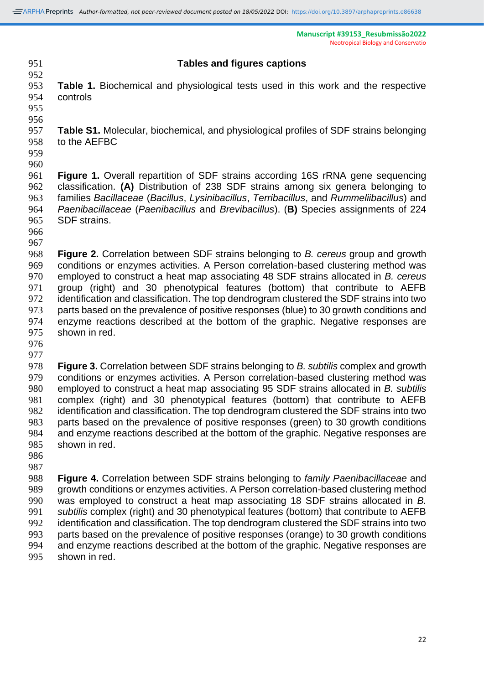**Manuscript #39153\_Resubmissão2022** Neotropical Biology and Conservatio

# **Tables and figures captions**

 **Table 1.** Biochemical and physiological tests used in this work and the respective controls

 

 **Table S1.** Molecular, biochemical, and physiological profiles of SDF strains belonging to the AEFBC

 **Figure 1.** Overall repartition of SDF strains according 16S rRNA gene sequencing classification. **(A)** Distribution of 238 SDF strains among six genera belonging to families *Bacillaceae* (*Bacillus*, *Lysinibacillus*, *Terribacillus*, and *Rummeliibacillus*) and *Paenibacillaceae* (*Paenibacillus* and *Brevibacillus*). (**B)** Species assignments of 224 SDF strains.

 

 **Figure 2.** Correlation between SDF strains belonging to *B. cereus* group and growth conditions or enzymes activities. A Person correlation-based clustering method was employed to construct a heat map associating 48 SDF strains allocated in *B. cereus* group (right) and 30 phenotypical features (bottom) that contribute to AEFB identification and classification. The top dendrogram clustered the SDF strains into two parts based on the prevalence of positive responses (blue) to 30 growth conditions and enzyme reactions described at the bottom of the graphic. Negative responses are shown in red.

 **Figure 3.** Correlation between SDF strains belonging to *B. subtilis* complex and growth conditions or enzymes activities. A Person correlation-based clustering method was employed to construct a heat map associating 95 SDF strains allocated in *B. subtilis* complex (right) and 30 phenotypical features (bottom) that contribute to AEFB identification and classification. The top dendrogram clustered the SDF strains into two parts based on the prevalence of positive responses (green) to 30 growth conditions and enzyme reactions described at the bottom of the graphic. Negative responses are shown in red.

 **Figure 4.** Correlation between SDF strains belonging to *family Paenibacillaceae* and growth conditions or enzymes activities. A Person correlation-based clustering method was employed to construct a heat map associating 18 SDF strains allocated in *B. subtilis* complex (right) and 30 phenotypical features (bottom) that contribute to AEFB identification and classification. The top dendrogram clustered the SDF strains into two parts based on the prevalence of positive responses (orange) to 30 growth conditions and enzyme reactions described at the bottom of the graphic. Negative responses are shown in red.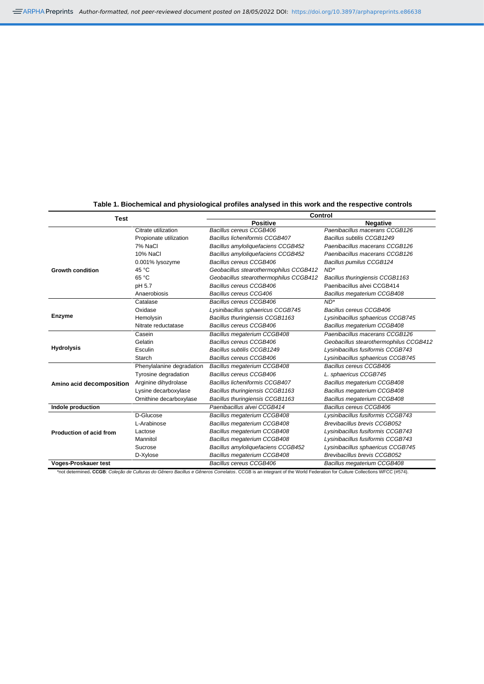|  |  |  |  | Table 1. Biochemical and physiological profiles analysed in this work and the respective controls |
|--|--|--|--|---------------------------------------------------------------------------------------------------|
|--|--|--|--|---------------------------------------------------------------------------------------------------|

| <b>Test</b>                    |                           | Control                                |                                        |  |
|--------------------------------|---------------------------|----------------------------------------|----------------------------------------|--|
|                                |                           | <b>Positive</b>                        | <b>Negative</b>                        |  |
|                                | Citrate utilization       | Bacillus cereus CCGB406                | Paenibacillus macerans CCGB126         |  |
|                                | Propionate utilization    | <b>Bacillus licheniformis CCGB407</b>  | Bacillus subtilis CCGB1249             |  |
|                                | 7% NaCl                   | Bacillus amyloliquefaciens CCGB452     | Paenibacillus macerans CCGB126         |  |
|                                | 10% NaCl                  | Bacillus amyloliquefaciens CCGB452     | Paenibacillus macerans CCGB126         |  |
|                                | 0.001% lysozyme           | Bacillus cereus CCGB406                | Bacillus pumilus CCGB124               |  |
| <b>Growth condition</b>        | 45 °C                     | Geobacillus stearothermophilus CCGB412 | $ND^*$                                 |  |
|                                | 65 °C                     | Geobacillus stearothermophilus CCGB412 | Bacillus thuringiensis CCGB1163        |  |
|                                | pH 5.7                    | Bacillus cereus CCGB406                | Paenibacillus alvei CCGB414            |  |
|                                | Anaerobiosis              | Bacillus cereus CCG406                 | Bacillus megaterium CCGB408            |  |
|                                | Catalase                  | Bacillus cereus CCGB406                | $ND^*$                                 |  |
|                                | Oxidase                   | Lysinibacillus sphaericus CCGB745      | Bacillus cereus CCGB406                |  |
| Enzyme                         | Hemolysin                 | Bacillus thuringiensis CCGB1163        | Lysinibacillus sphaericus CCGB745      |  |
|                                | Nitrate reductatase       | Bacillus cereus CCGB406                | Bacillus megaterium CCGB408            |  |
|                                | Casein                    | Bacillus megaterium CCGB408            | Paenibacillus macerans CCGB126         |  |
|                                | Gelatin                   | Bacillus cereus CCGB406                | Geobacillus stearothermophilus CCGB412 |  |
| <b>Hydrolysis</b>              | Esculin                   | Bacillus subtilis CCGB1249             | Lysinibacillus fusiformis CCGB743      |  |
|                                | Starch                    | Bacillus cereus CCGB406                | Lysinibacillus sphaericus CCGB745      |  |
|                                | Phenylalanine degradation | Bacillus megaterium CCGB408            | Bacillus cereus CCGB406                |  |
|                                | Tyrosine degradation      | Bacillus cereus CCGB406                | L. sphaericus CCGB745                  |  |
| Amino acid decomposition       | Arginine dihydrolase      | Bacillus licheniformis CCGB407         | Bacillus megaterium CCGB408            |  |
|                                | Lysine decarboxylase      | Bacillus thuringiensis CCGB1163        | Bacillus megaterium CCGB408            |  |
|                                | Ornithine decarboxylase   | Bacillus thuringiensis CCGB1163        | Bacillus megaterium CCGB408            |  |
| Indole production              |                           | Paenibacillus alvei CCGB414            | Bacillus cereus CCGB406                |  |
|                                | D-Glucose                 | Bacillus megaterium CCGB408            | Lysinibacillus fusiformis CCGB743      |  |
|                                | L-Arabinose               | Bacillus megaterium CCGB408            | Brevibacillus brevis CCGB052           |  |
| <b>Production of acid from</b> | Lactose                   | Bacillus megaterium CCGB408            | Lysinibacillus fusiformis CCGB743      |  |
|                                | Mannitol                  | Bacillus megaterium CCGB408            | Lysinibacillus fusiformis CCGB743      |  |
|                                | Sucrose                   | Bacillus amyloliquefaciens CCGB452     | Lysinibacillus sphaericus CCGB745      |  |
|                                | D-Xylose                  | Bacillus megaterium CCGB408            | Brevibacillus brevis CCGB052           |  |
| Voges-Proskauer test           |                           | Bacillus cereus CCGB406                | Bacillus megaterium CCGB408            |  |

\*not determined**. CCGB**: *Coleção de Culturas do Gênero Bacillus e Gêneros Correlatos*. CCGB is an integrant of the World Federation for Culture Collec6ons WFCC (#574).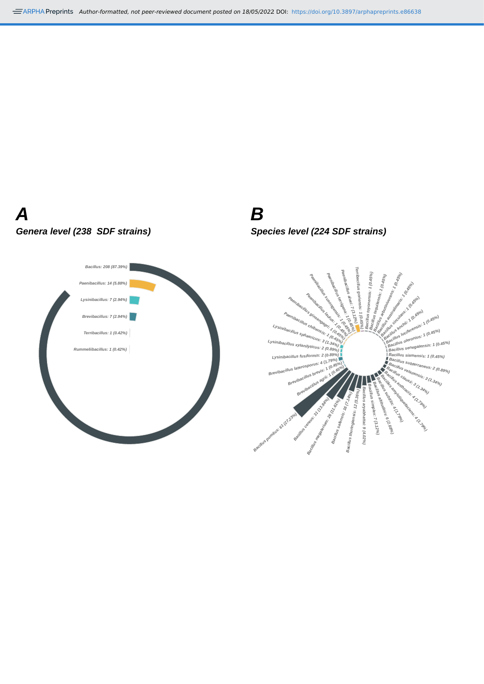







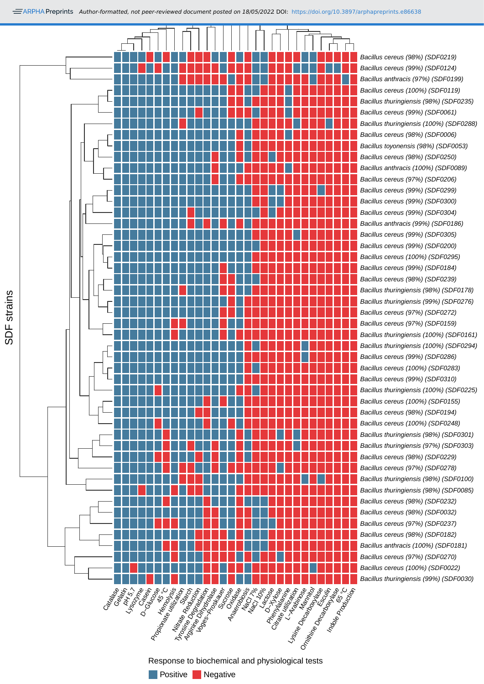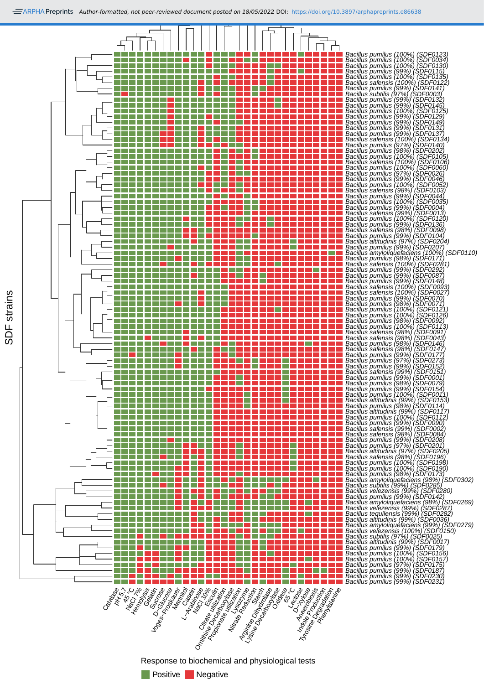